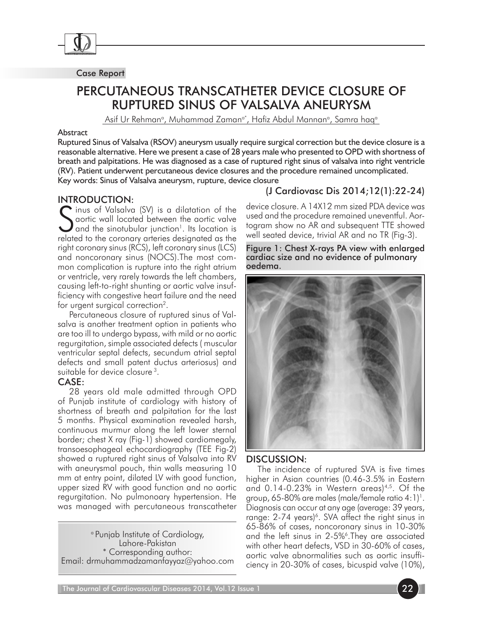

#### Case Report

# PERCUTANEOUS TRANSCATHETER DEVICE CLOSURE OF RUPTURED SINUS OF VALSALVA ANEURYSM

Asif Ur Rehmanª, Muhammad Zamanª\*, Hafiz Abdul Mannanª, Samra haqª

#### Abstract

Ruptured Sinus of Valsalva (RSOV) aneurysm usually require surgical correction but the device closure is a reasonable alternative. Here we present a case of 28 years male who presented to OPD with shortness of breath and palpitations. He was diagnosed as a case of ruptured right sinus of valsalva into right ventricle (RV). Patient underwent percutaneous device closures and the procedure remained uncomplicated. Key words: Sinus of Valsalva aneurysm, rupture, device closure

#### Introduction:

S inus of Valsalva (SV) is a dilatation of the<br>
Saortic wall located between the aortic valve<br>
and the sinotubular junction<sup>1</sup>, its location is<br>
related to the corrective designated as the aortic wall located between the aortic valve  $\blacktriangleright$  and the sinotubular junction<sup>1</sup>. Its location is related to the coronary arteries designated as the right coronary sinus (RCS), left coronary sinus (LCS) and noncoronary sinus (NOCS).The most common complication is rupture into the right atrium or ventricle, very rarely towards the left chambers, causing left-to-right shunting or aortic valve insufficiency with congestive heart failure and the need for urgent surgical correction2.

Percutaneous closure of ruptured sinus of Valsalva is another treatment option in patients who are too ill to undergo bypass, with mild or no aortic regurgitation, simple associated defects ( muscular ventricular septal defects, secundum atrial septal defects and small patent ductus arteriosus) and suitable for device closure 3.

### CASE:

28 years old male admitted through OPD of Punjab institute of cardiology with history of shortness of breath and palpitation for the last 5 months. Physical examination revealed harsh, continuous murmur along the left lower sternal border; chest X ray (Fig-1) showed cardiomegaly, transoesophageal echocardiography (TEE Fig-2) showed a ruptured right sinus of Valsalva into RV with aneurysmal pouch, thin walls measuring 10 mm at entry point, dilated LV with good function, upper sized RV with good function and no aortic regurgitation. No pulmonoary hypertension. He was managed with percutaneous transcatheter

a Punjab Institute of Cardiology, Lahore-Pakistan \* Corresponding author: Email: drmuhammadzamanfayyaz@yahoo.com

## (J Cardiovasc Dis 2014;12(1):22-24)

device closure. A 14X12 mm sized PDA device was used and the procedure remained uneventful. Aortogram show no AR and subsequent TTE showed well seated device, trivial AR and no TR (Fig-3).

Figure 1: Chest X-rays PA view with enlarged cardiac size and no evidence of pulmonary oedema.



### DISCUSSION:

The incidence of ruptured SVA is five times higher in Asian countries (0.46-3.5% in Eastern and 0.14-0.23% in Western areas)<sup>4,5</sup>. Of the group, 65-80% are males (male/female ratio 4:1) $^{\rm !}$ . Diagnosis can occur at any age (average: 39 years, range:  $2-74$  years)<sup>6</sup>. SVA affect the right sinus in 65-86% of cases, noncoronary sinus in 10-30% and the left sinus in 2-5%<sup>6</sup>. They are associated with other heart defects, VSD in 30-60% of cases, aortic valve abnormalities such as aortic insufficiency in 20-30% of cases, bicuspid valve (10%),

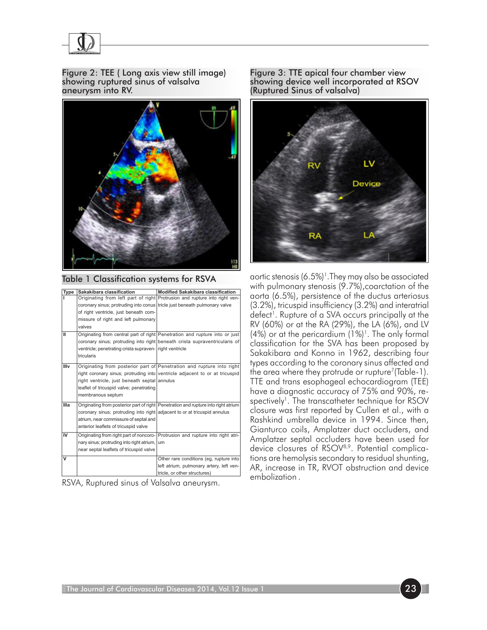

Figure 2: TEE ( Long axis view still image) showing ruptured sinus of valsalva aneurysm into RV.



Table 1 Classification systems for RSVA

| Type | Sakakibara classification                                                 | <b>Modified Sakakibara classification</b>                                          |
|------|---------------------------------------------------------------------------|------------------------------------------------------------------------------------|
|      |                                                                           | Originating from left part of right Protrusion and rupture into right ven-         |
|      | coronary sinus; protruding into conus tricle just beneath pulmonary valve |                                                                                    |
|      | of right ventricle, just beneath com-                                     |                                                                                    |
|      | missure of right and left pulmonary                                       |                                                                                    |
|      | valves                                                                    |                                                                                    |
| Ш    |                                                                           | Originating from central part of right Penetration and rupture into or just        |
|      |                                                                           | coronary sinus; protruding into right beneath crista supraventricularis of         |
|      | ventricle; penetrating crista supraven- right ventricle                   |                                                                                    |
|      | tricularis                                                                |                                                                                    |
| Illv |                                                                           | Originating from posterior part of Penetration and rupture into right              |
|      |                                                                           | right coronary sinus; protruding into ventricle adjacent to or at tricuspid        |
|      | right ventricle, just beneath septal annulus                              |                                                                                    |
|      | leaflet of tricuspid valve; penetrating                                   |                                                                                    |
|      | membranous septum                                                         |                                                                                    |
| Illa |                                                                           | Originating from posterior part of right Penetration and rupture into right atrium |
|      | coronary sinus; protruding into right adjacent to or at tricuspid annulus |                                                                                    |
|      | atrium, near commissure of septal and                                     |                                                                                    |
|      | anterior leaflets of tricuspid valve                                      |                                                                                    |
| IV   |                                                                           | Originating from right part of noncoro- Protrusion and rupture into right atri-    |
|      | nary sinus; protruding into right atrium,                                 | um                                                                                 |
|      | near septal leaflets of tricuspid valve                                   |                                                                                    |
| v    |                                                                           | Other rare conditions (eq. rupture into                                            |
|      |                                                                           |                                                                                    |
|      |                                                                           | left atrium, pulmonary artery, left ven-                                           |
|      |                                                                           | tricle, or other structures)                                                       |

RSVA, Ruptured sinus of Valsalva aneurysm.

Figure 3: TTE apical four chamber view showing device well incorporated at RSOV (Ruptured Sinus of valsalva)



aortic stenosis (6.5%)<sup>1</sup>. They may also be associated with pulmonary stenosis (9.7%),coarctation of the aorta (6.5%), persistence of the ductus arteriosus (3.2%), tricuspid insufficiency (3.2%) and interatrial defect<sup>1</sup>. Rupture of a SVA occurs principally at the RV (60%) or at the RA (29%), the LA (6%), and LV  $(4%)$  or at the pericardium  $(1%)$ <sup>1</sup>. The only formal classification for the SVA has been proposed by Sakakibara and Konno in 1962, describing four types according to the coronary sinus affected and the area where they protrude or rupture<sup>7</sup>(Table-1). TTE and trans esophageal echocardiogram (TEE) have a diagnostic accuracy of 75% and 90%, respectively<sup>1</sup>. The transcatheter technique for RSOV closure was first reported by Cullen et al., with a Rashkind umbrella device in 1994. Since then, Gianturco coils, Amplatzer duct occluders, and Amplatzer septal occluders have been used for device closures of RSOV<sup>8,9</sup>. Potential complications are hemolysis secondary to residual shunting, AR, increase in TR, RVOT obstruction and device embolization .